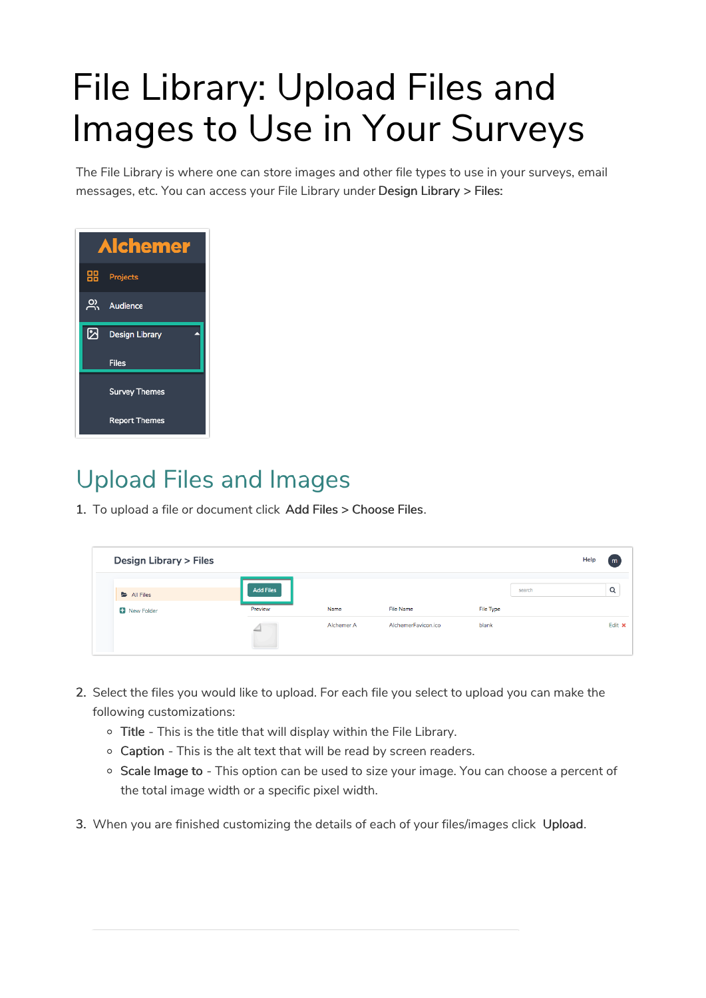# File Library: Upload Files and Images to Use in Your Surveys

The File Library is where one can store images and other file types to use in your surveys, email messages, etc. You can access your File Library under Design Library > Files:



## Upload Files and Images

1. To upload a file or document click Add Files > Choose Files.

| <b>Design Library &gt; Files</b> |                  |            |                     |           | Help<br>$\mathsf{m}$ |  |
|----------------------------------|------------------|------------|---------------------|-----------|----------------------|--|
| All Files                        | <b>Add Files</b> |            |                     |           | Q<br>search          |  |
| New Folder                       | Preview          | Name       | <b>File Name</b>    | File Type |                      |  |
|                                  |                  | Alchemer A | AlchemerFavicon.ico | blank     | Edit x               |  |

- 2. Select the files you would like to upload. For each file you select to upload you can make the following customizations:
	- o Title This is the title that will display within the File Library.
	- Caption This is the alt text that will be read by screen readers.
	- <sup>o</sup> Scale Image to This option can be used to size your image. You can choose a percent of the total image width or a specific pixel width.
- 3. When you are finished customizing the details of each of your files/images click Upload.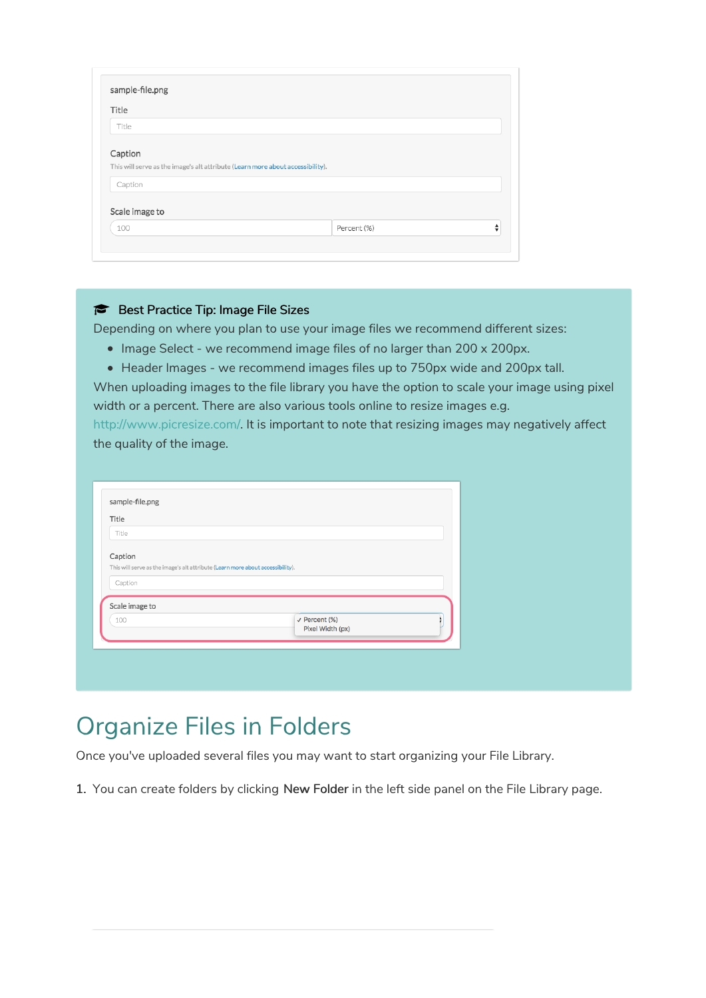| Title                                                                          |             |   |
|--------------------------------------------------------------------------------|-------------|---|
|                                                                                |             |   |
| Title                                                                          |             |   |
|                                                                                |             |   |
| Caption                                                                        |             |   |
|                                                                                |             |   |
| This will serve as the image's alt attribute (Learn more about accessibility). |             |   |
|                                                                                |             |   |
|                                                                                |             |   |
| Caption                                                                        |             |   |
|                                                                                |             |   |
|                                                                                |             |   |
|                                                                                |             |   |
| Scale image to<br>100                                                          | Percent (%) | ÷ |

### Best Practice Tip: Image File Sizes

Depending on where you plan to use your image files we recommend different sizes:

- Image Select we recommend image files of no larger than 200 x 200px.
- Header Images we recommend images files up to 750px wide and 200px tall.

When uploading images to the file library you have the option to scale your image using pixel width or a percent. There are also various tools online to resize images e.g.

http://www.picresize.com/. It is important to note that resizing images may negatively affect the quality of the image.

| Title                                                                          |                                              |  |
|--------------------------------------------------------------------------------|----------------------------------------------|--|
| Title                                                                          |                                              |  |
|                                                                                |                                              |  |
| Caption                                                                        |                                              |  |
| This will serve as the image's alt attribute (Learn more about accessibility). |                                              |  |
| Caption                                                                        |                                              |  |
|                                                                                |                                              |  |
|                                                                                |                                              |  |
| Scale image to                                                                 |                                              |  |
|                                                                                |                                              |  |
| 100                                                                            | $\checkmark$ Percent (%)<br>Pixel Width (px) |  |

### Organize Files in Folders

Once you've uploaded several files you may want to start organizing your File Library.

1. You can create folders by clicking New Folder in the left side panel on the File Library page.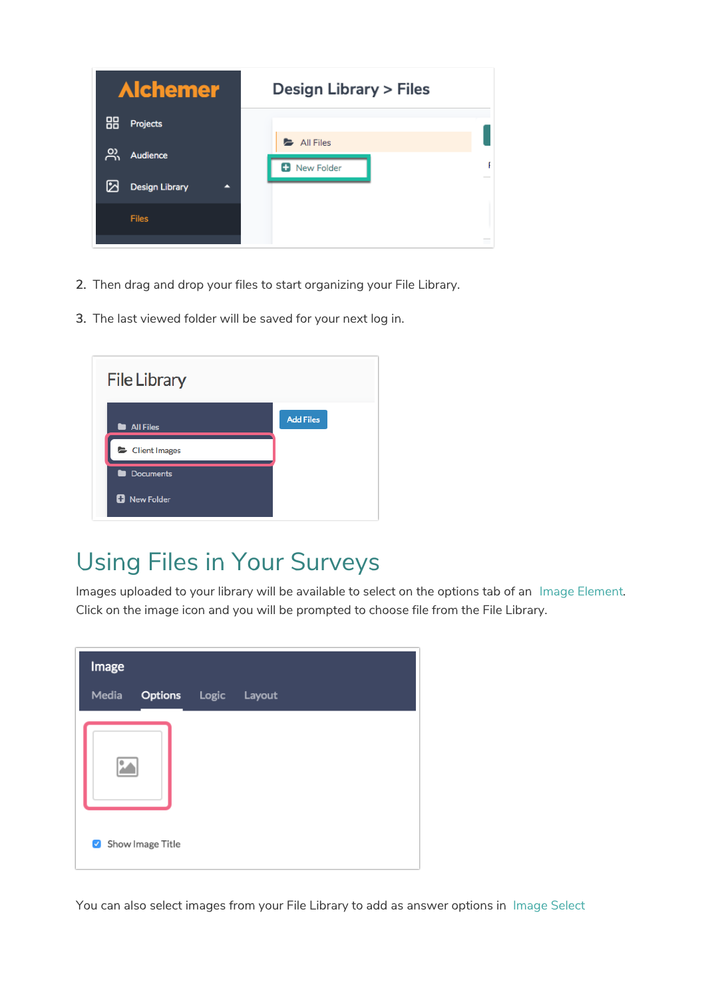

- 2. Then drag and drop your files to start organizing your File Library.
- 3. The last viewed folder will be saved for your next log in.



# Using Files in Your Surveys

Images uploaded to your library will be available to select on the options tab of an Image Element. Click on the image icon and you will be prompted to choose file from the File Library.

| Image |                      |  |
|-------|----------------------|--|
| Media | Options Logic Layout |  |
|       |                      |  |
|       | Show Image Title     |  |

You can also select images from your File Library to add as answer options in Image Select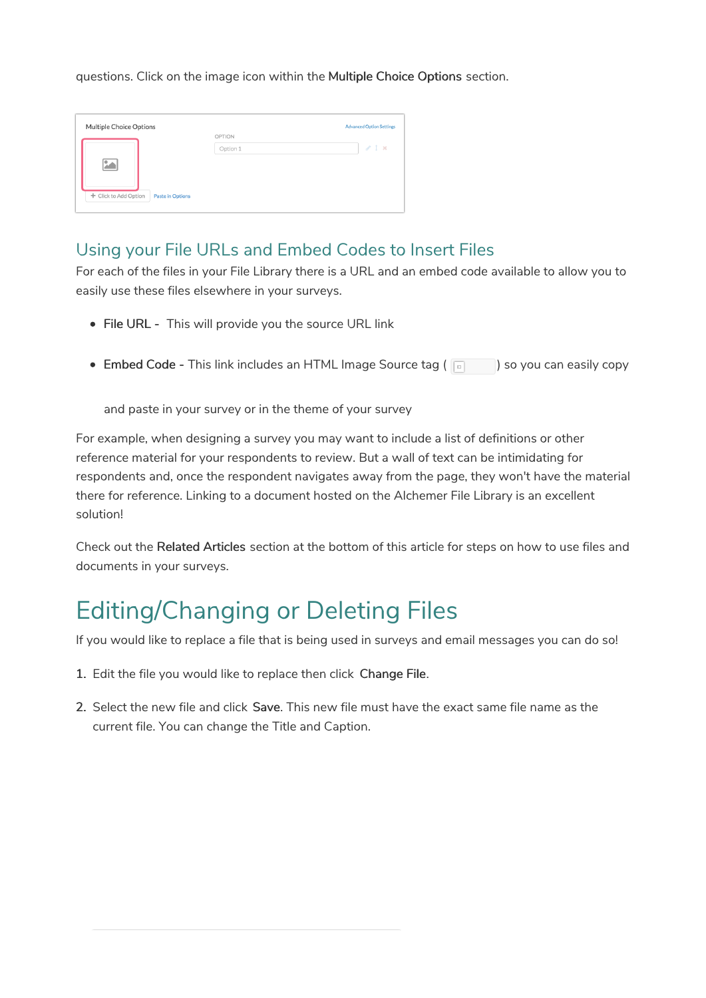questions. Click on the image icon within the Multiple Choice Options section.

| Multiple Choice Options                          |          | <b>Advanced Option Settings</b> |
|--------------------------------------------------|----------|---------------------------------|
|                                                  | OPTION   |                                 |
|                                                  | Option 1 | $\ell$ 1 x                      |
| ۵A                                               |          |                                 |
| + Click to Add Option<br><b>Paste in Options</b> |          |                                 |

### Using your File URLs and Embed Codes to Insert Files

For each of the files in your File Library there is a URL and an embed code available to allow you to easily use these files elsewhere in your surveys.

- File URL This will provide you the source URL link
- Embed Code This link includes an HTML Image Source tag (  $\Box$  ) so you can easily copy

and paste in your survey or in the theme of your survey

For example, when designing a survey you may want to include a list of definitions or other reference material for your respondents to review. But a wall of text can be intimidating for respondents and, once the respondent navigates away from the page, they won't have the material there for reference. Linking to a document hosted on the Alchemer File Library is an excellent solution!

Check out the Related Articles section at the bottom of this article for steps on how to use files and documents in your surveys.

## Editing/Changing or Deleting Files

If you would like to replace a file that is being used in surveys and email messages you can do so!

- 1. Edit the file you would like to replace then click Change File.
- 2. Select the new file and click Save. This new file must have the exact same file name as the current file. You can change the Title and Caption.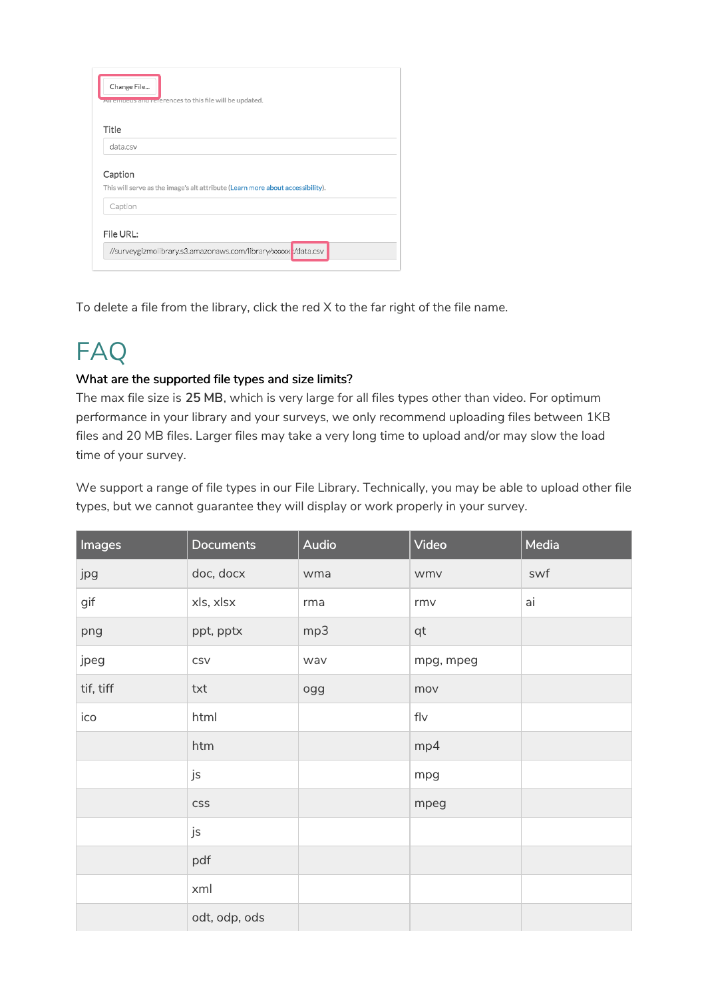| Change File<br>All embeds and references to this file will be updated.                    |
|-------------------------------------------------------------------------------------------|
| Title                                                                                     |
| data.csv                                                                                  |
| Caption<br>This will serve as the image's alt attribute (Learn more about accessibility). |
| Caption                                                                                   |
| File URL:<br>//surveygizmolibrary.s3.amazonaws.com/library/xxxxx v/data.csv               |

To delete a file from the library, click the red X to the far right of the file name.

# FAQ

### What are the supported file types and size limits?

The max file size is 25 MB, which is very large for all files types other than video. For optimum performance in your library and your surveys, we only recommend uploading files between 1KB files and 20 MB files. Larger files may take a very long time to upload and/or may slow the load time of your survey.

We support a range of file types in our File Library. Technically, you may be able to upload other file types, but we cannot guarantee they will display or work properly in your survey.

| Images    | <b>Documents</b> | <b>Audio</b> | Video     | Media |
|-----------|------------------|--------------|-----------|-------|
| jpg       | doc, docx        | wma          | wmv       | swf   |
| gif       | xls, xlsx        | rma          | rmv       | ai    |
| png       | ppt, pptx        | mp3          | qt        |       |
| jpeg      | CSV              | wav          | mpg, mpeg |       |
| tif, tiff | txt              | ogg          | mov       |       |
| ico       | html             |              | f V       |       |
|           | htm              |              | mp4       |       |
|           | js               |              | mpg       |       |
|           | CSS              |              | mpeg      |       |
|           | js               |              |           |       |
|           | pdf              |              |           |       |
|           | xml              |              |           |       |
|           | odt, odp, ods    |              |           |       |